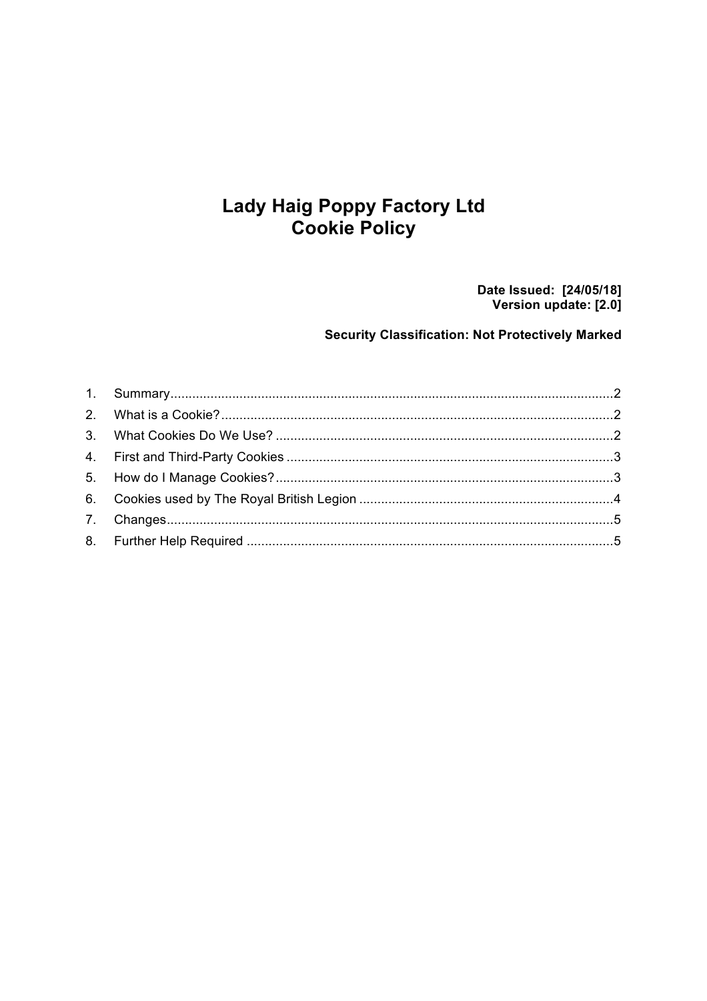# **Lady Haig Poppy Factory Ltd Cookie Policy**

Date Issued: [24/05/18]<br>Version update: [2.0]

### **Security Classification: Not Protectively Marked**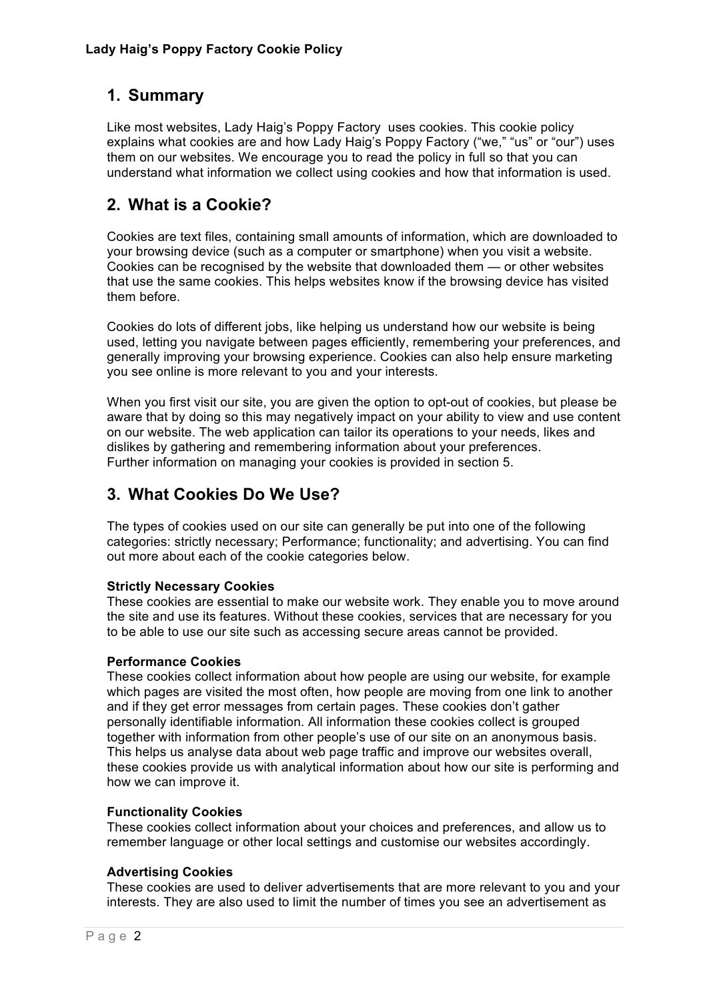## **1. Summary**

Like most websites, Lady Haig's Poppy Factory uses cookies. This cookie policy explains what cookies are and how Lady Haig's Poppy Factory ("we," "us" or "our") uses them on our websites. We encourage you to read the policy in full so that you can understand what information we collect using cookies and how that information is used.

## **2. What is a Cookie?**

Cookies are text files, containing small amounts of information, which are downloaded to your browsing device (such as a computer or smartphone) when you visit a website. Cookies can be recognised by the website that downloaded them — or other websites that use the same cookies. This helps websites know if the browsing device has visited them before.

Cookies do lots of different jobs, like helping us understand how our website is being used, letting you navigate between pages efficiently, remembering your preferences, and generally improving your browsing experience. Cookies can also help ensure marketing you see online is more relevant to you and your interests.

When you first visit our site, you are given the option to opt-out of cookies, but please be aware that by doing so this may negatively impact on your ability to view and use content on our website. The web application can tailor its operations to your needs, likes and dislikes by gathering and remembering information about your preferences. Further information on managing your cookies is provided in section 5.

## **3. What Cookies Do We Use?**

The types of cookies used on our site can generally be put into one of the following categories: strictly necessary; Performance; functionality; and advertising. You can find out more about each of the cookie categories below.

#### **Strictly Necessary Cookies**

These cookies are essential to make our website work. They enable you to move around the site and use its features. Without these cookies, services that are necessary for you to be able to use our site such as accessing secure areas cannot be provided.

#### **Performance Cookies**

These cookies collect information about how people are using our website, for example which pages are visited the most often, how people are moving from one link to another and if they get error messages from certain pages. These cookies don't gather personally identifiable information. All information these cookies collect is grouped together with information from other people's use of our site on an anonymous basis. This helps us analyse data about web page traffic and improve our websites overall, these cookies provide us with analytical information about how our site is performing and how we can improve it.

#### **Functionality Cookies**

These cookies collect information about your choices and preferences, and allow us to remember language or other local settings and customise our websites accordingly.

#### **Advertising Cookies**

These cookies are used to deliver advertisements that are more relevant to you and your interests. They are also used to limit the number of times you see an advertisement as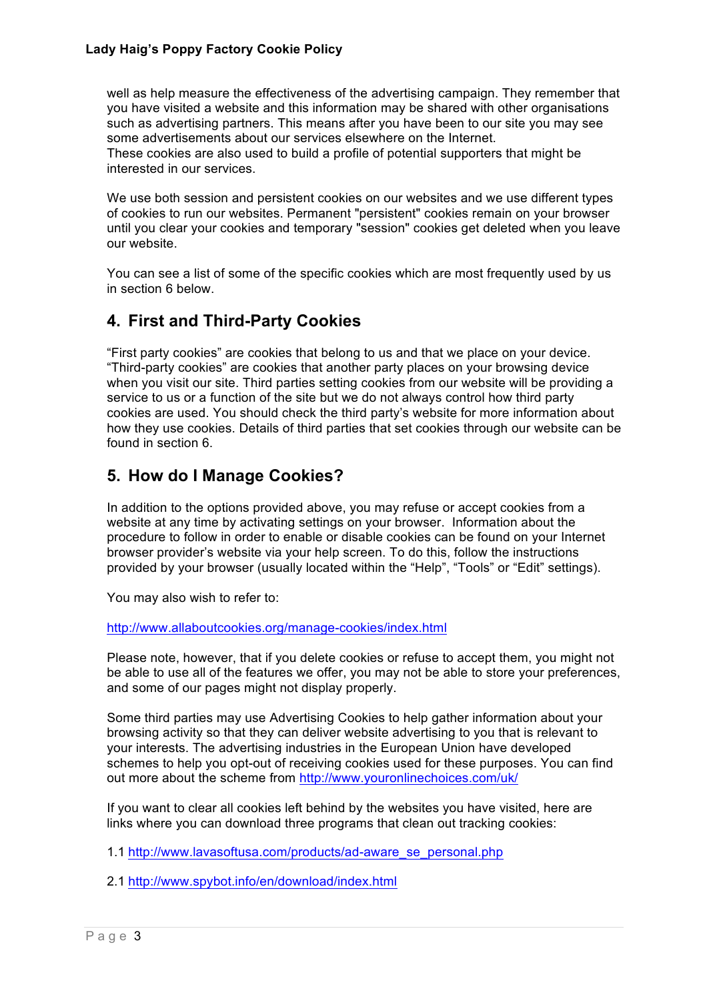#### **Lady Haig's Poppy Factory Cookie Policy**

well as help measure the effectiveness of the advertising campaign. They remember that you have visited a website and this information may be shared with other organisations such as advertising partners. This means after you have been to our site you may see some advertisements about our services elsewhere on the Internet. These cookies are also used to build a profile of potential supporters that might be

interested in our services. We use both session and persistent cookies on our websites and we use different types

of cookies to run our websites. Permanent "persistent" cookies remain on your browser until you clear your cookies and temporary "session" cookies get deleted when you leave our website.

You can see a list of some of the specific cookies which are most frequently used by us in section 6 below.

## **4. First and Third-Party Cookies**

"First party cookies" are cookies that belong to us and that we place on your device. "Third-party cookies" are cookies that another party places on your browsing device when you visit our site. Third parties setting cookies from our website will be providing a service to us or a function of the site but we do not always control how third party cookies are used. You should check the third party's website for more information about how they use cookies. Details of third parties that set cookies through our website can be found in section 6.

## **5. How do I Manage Cookies?**

In addition to the options provided above, you may refuse or accept cookies from a website at any time by activating settings on your browser. Information about the procedure to follow in order to enable or disable cookies can be found on your Internet browser provider's website via your help screen. To do this, follow the instructions provided by your browser (usually located within the "Help", "Tools" or "Edit" settings).

You may also wish to refer to:

http://www.allaboutcookies.org/manage-cookies/index.html

Please note, however, that if you delete cookies or refuse to accept them, you might not be able to use all of the features we offer, you may not be able to store your preferences, and some of our pages might not display properly.

Some third parties may use Advertising Cookies to help gather information about your browsing activity so that they can deliver website advertising to you that is relevant to your interests. The advertising industries in the European Union have developed schemes to help you opt-out of receiving cookies used for these purposes. You can find out more about the scheme from http://www.youronlinechoices.com/uk/

If you want to clear all cookies left behind by the websites you have visited, here are links where you can download three programs that clean out tracking cookies:

1.1 http://www.lavasoftusa.com/products/ad-aware\_se\_personal.php

2.1 http://www.spybot.info/en/download/index.html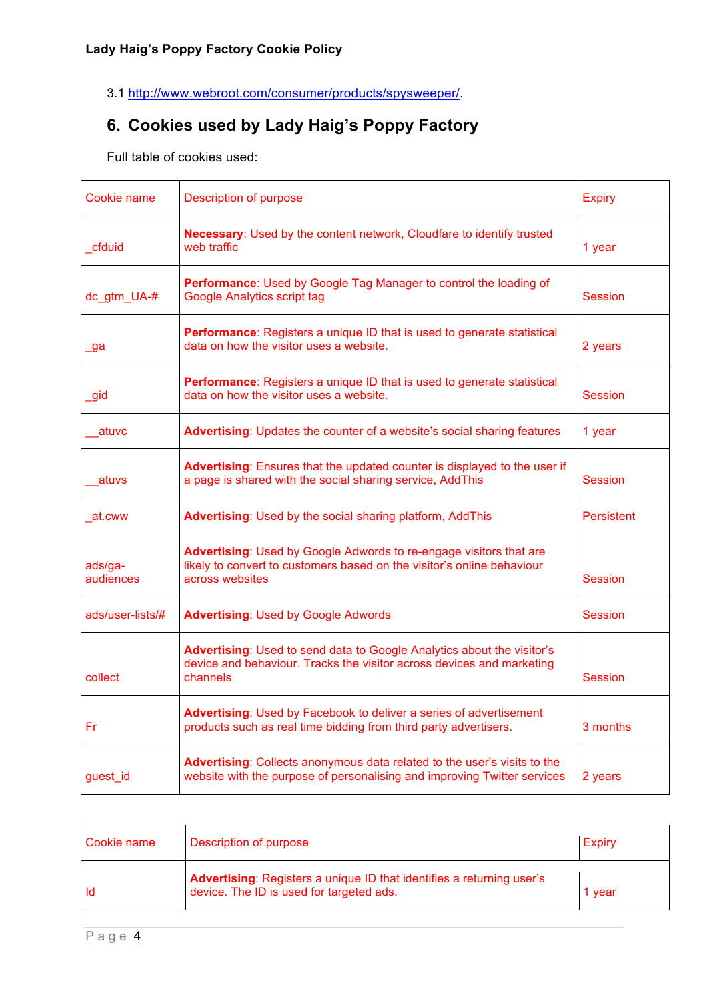3.1 http://www.webroot.com/consumer/products/spysweeper/.

# **6. Cookies used by Lady Haig's Poppy Factory**

Full table of cookies used:

| Cookie name          | Description of purpose                                                                                                                                          | <b>Expiry</b>     |
|----------------------|-----------------------------------------------------------------------------------------------------------------------------------------------------------------|-------------------|
| cfduid               | Necessary: Used by the content network, Cloudfare to identify trusted<br>web traffic                                                                            | 1 year            |
| dc_gtm_UA-#          | Performance: Used by Google Tag Manager to control the loading of<br><b>Google Analytics script tag</b>                                                         | Session           |
| ga                   | Performance: Registers a unique ID that is used to generate statistical<br>data on how the visitor uses a website.                                              | 2 years           |
| gid                  | Performance: Registers a unique ID that is used to generate statistical<br>data on how the visitor uses a website.                                              | Session           |
| atuvc                | Advertising: Updates the counter of a website's social sharing features                                                                                         | 1 year            |
| atuvs                | Advertising: Ensures that the updated counter is displayed to the user if<br>a page is shared with the social sharing service, AddThis                          | Session           |
| at.cww               | Advertising: Used by the social sharing platform, AddThis                                                                                                       | <b>Persistent</b> |
| ads/ga-<br>audiences | Advertising: Used by Google Adwords to re-engage visitors that are<br>likely to convert to customers based on the visitor's online behaviour<br>across websites | <b>Session</b>    |
| ads/user-lists/#     | <b>Advertising: Used by Google Adwords</b>                                                                                                                      | Session           |
| collect              | Advertising: Used to send data to Google Analytics about the visitor's<br>device and behaviour. Tracks the visitor across devices and marketing<br>channels     | Session           |
| Fr                   | Advertising: Used by Facebook to deliver a series of advertisement<br>products such as real time bidding from third party advertisers.                          | 3 months          |
| guest_id             | Advertising: Collects anonymous data related to the user's visits to the<br>website with the purpose of personalising and improving Twitter services            | 2 years           |

| Cookie name | Description of purpose                                                                                            | Expiry |
|-------------|-------------------------------------------------------------------------------------------------------------------|--------|
| -ld         | Advertising: Registers a unique ID that identifies a returning user's<br>device. The ID is used for targeted ads. | 1 vear |